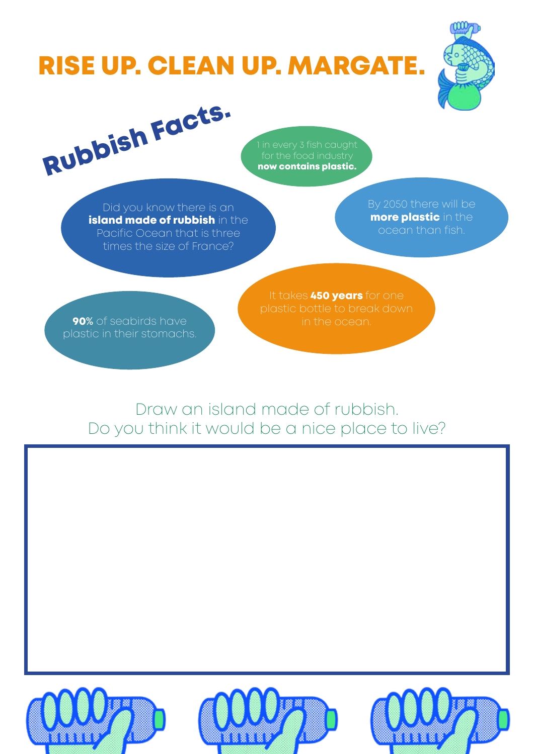# RISE UP. CLEAN UP. MARGATE.



Rubbish Facts.

now contains plastic.

Did you know there is an island made of rubbish in the Pacific Ocean that is three times the size of France?

**more plastic** in the

**90%** of seabirds have **in the ocean.** plastic in their stomachs.

It takes 450 years for one

Draw an island made of rubbish. Do you think it would be a nice place to live?